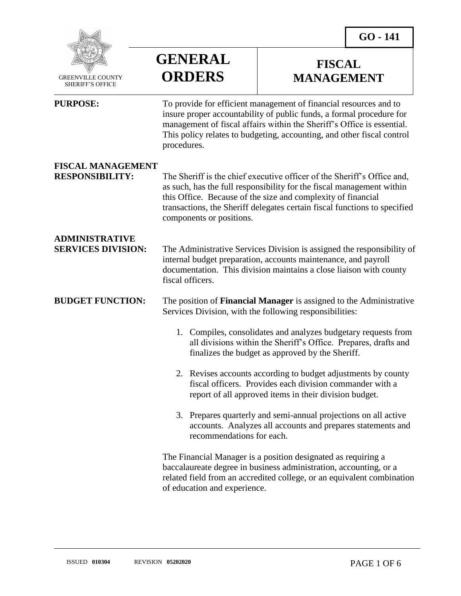

 GREENVILLE COUNTY SHERIFF'S OFFICE

 $\overline{a}$ 

## **GENERAL ORDERS**

**PURPOSE:** To provide for efficient management of financial resources and to

## **FISCAL MANAGEMENT**

|                                                    | insure proper accountability of public funds, a formal procedure for<br>management of fiscal affairs within the Sheriff's Office is essential.<br>This policy relates to budgeting, accounting, and other fiscal control<br>procedures.                                                                                   |
|----------------------------------------------------|---------------------------------------------------------------------------------------------------------------------------------------------------------------------------------------------------------------------------------------------------------------------------------------------------------------------------|
| <b>FISCAL MANAGEMENT</b><br><b>RESPONSIBILITY:</b> | The Sheriff is the chief executive officer of the Sheriff's Office and,<br>as such, has the full responsibility for the fiscal management within<br>this Office. Because of the size and complexity of financial<br>transactions, the Sheriff delegates certain fiscal functions to specified<br>components or positions. |
| <b>ADMINISTRATIVE</b><br><b>SERVICES DIVISION:</b> | The Administrative Services Division is assigned the responsibility of<br>internal budget preparation, accounts maintenance, and payroll<br>documentation. This division maintains a close liaison with county<br>fiscal officers.                                                                                        |
| <b>BUDGET FUNCTION:</b>                            | The position of <b>Financial Manager</b> is assigned to the Administrative<br>Services Division, with the following responsibilities:                                                                                                                                                                                     |
|                                                    | 1. Compiles, consolidates and analyzes budgetary requests from<br>all divisions within the Sheriff's Office. Prepares, drafts and<br>finalizes the budget as approved by the Sheriff.                                                                                                                                     |
|                                                    | 2. Revises accounts according to budget adjustments by county<br>fiscal officers. Provides each division commander with a<br>report of all approved items in their division budget.                                                                                                                                       |
|                                                    | 3. Prepares quarterly and semi-annual projections on all active<br>accounts. Analyzes all accounts and prepares statements and<br>recommendations for each.                                                                                                                                                               |
|                                                    | The Financial Manager is a position designated as requiring a<br>baccalaureate degree in business administration, accounting, or a<br>related field from an accredited college, or an equivalent combination                                                                                                              |

of education and experience.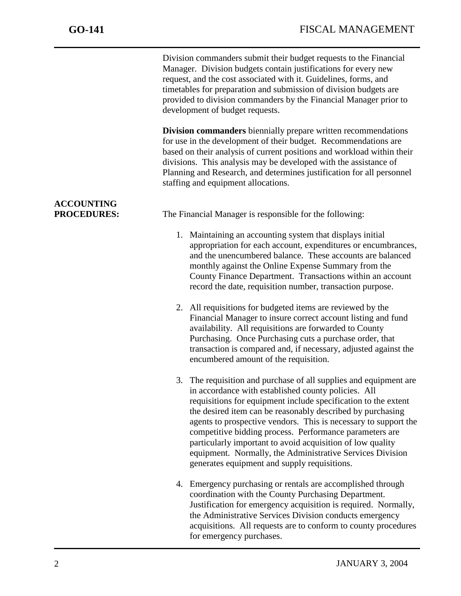j

Division commanders submit their budget requests to the Financial Manager. Division budgets contain justifications for every new request, and the cost associated with it. Guidelines, forms, and timetables for preparation and submission of division budgets are provided to division commanders by the Financial Manager prior to development of budget requests.

**Division commanders** biennially prepare written recommendations for use in the development of their budget. Recommendations are based on their analysis of current positions and workload within their divisions. This analysis may be developed with the assistance of Planning and Research, and determines justification for all personnel staffing and equipment allocations.

**ACCOUNTING** 

**PROCEDURES:** The Financial Manager is responsible for the following:

- 1. Maintaining an accounting system that displays initial appropriation for each account, expenditures or encumbrances, and the unencumbered balance. These accounts are balanced monthly against the Online Expense Summary from the County Finance Department. Transactions within an account record the date, requisition number, transaction purpose.
- 2. All requisitions for budgeted items are reviewed by the Financial Manager to insure correct account listing and fund availability. All requisitions are forwarded to County Purchasing. Once Purchasing cuts a purchase order, that transaction is compared and, if necessary, adjusted against the encumbered amount of the requisition.
- 3. The requisition and purchase of all supplies and equipment are in accordance with established county policies. All requisitions for equipment include specification to the extent the desired item can be reasonably described by purchasing agents to prospective vendors. This is necessary to support the competitive bidding process. Performance parameters are particularly important to avoid acquisition of low quality equipment. Normally, the Administrative Services Division generates equipment and supply requisitions.
- 4. Emergency purchasing or rentals are accomplished through coordination with the County Purchasing Department. Justification for emergency acquisition is required. Normally, the Administrative Services Division conducts emergency acquisitions. All requests are to conform to county procedures for emergency purchases.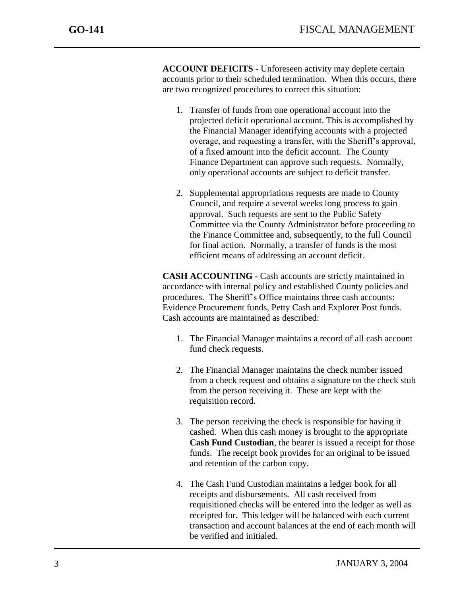j

**ACCOUNT DEFICITS** - Unforeseen activity may deplete certain accounts prior to their scheduled termination. When this occurs, there are two recognized procedures to correct this situation:

- 1. Transfer of funds from one operational account into the projected deficit operational account. This is accomplished by the Financial Manager identifying accounts with a projected overage, and requesting a transfer, with the Sheriff's approval, of a fixed amount into the deficit account. The County Finance Department can approve such requests. Normally, only operational accounts are subject to deficit transfer.
- 2. Supplemental appropriations requests are made to County Council, and require a several weeks long process to gain approval. Such requests are sent to the Public Safety Committee via the County Administrator before proceeding to the Finance Committee and, subsequently, to the full Council for final action. Normally, a transfer of funds is the most efficient means of addressing an account deficit.

**CASH ACCOUNTING** - Cash accounts are strictly maintained in accordance with internal policy and established County policies and procedures. The Sheriff's Office maintains three cash accounts: Evidence Procurement funds, Petty Cash and Explorer Post funds. Cash accounts are maintained as described:

- 1. The Financial Manager maintains a record of all cash account fund check requests.
- 2. The Financial Manager maintains the check number issued from a check request and obtains a signature on the check stub from the person receiving it. These are kept with the requisition record.
- 3. The person receiving the check is responsible for having it cashed. When this cash money is brought to the appropriate **Cash Fund Custodian**, the bearer is issued a receipt for those funds. The receipt book provides for an original to be issued and retention of the carbon copy.
- 4. The Cash Fund Custodian maintains a ledger book for all receipts and disbursements. All cash received from requisitioned checks will be entered into the ledger as well as receipted for. This ledger will be balanced with each current transaction and account balances at the end of each month will be verified and initialed.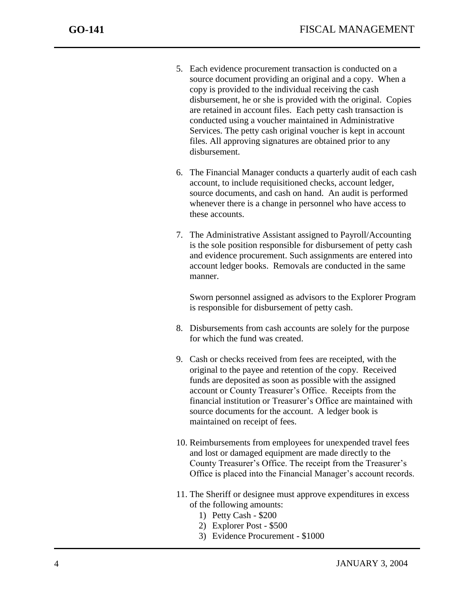j

- 5. Each evidence procurement transaction is conducted on a source document providing an original and a copy. When a copy is provided to the individual receiving the cash disbursement, he or she is provided with the original. Copies are retained in account files. Each petty cash transaction is conducted using a voucher maintained in Administrative Services. The petty cash original voucher is kept in account files. All approving signatures are obtained prior to any disbursement.
- 6. The Financial Manager conducts a quarterly audit of each cash account, to include requisitioned checks, account ledger, source documents, and cash on hand. An audit is performed whenever there is a change in personnel who have access to these accounts.
- 7. The Administrative Assistant assigned to Payroll/Accounting is the sole position responsible for disbursement of petty cash and evidence procurement. Such assignments are entered into account ledger books. Removals are conducted in the same manner.

Sworn personnel assigned as advisors to the Explorer Program is responsible for disbursement of petty cash.

- 8. Disbursements from cash accounts are solely for the purpose for which the fund was created.
- 9. Cash or checks received from fees are receipted, with the original to the payee and retention of the copy. Received funds are deposited as soon as possible with the assigned account or County Treasurer's Office. Receipts from the financial institution or Treasurer's Office are maintained with source documents for the account. A ledger book is maintained on receipt of fees.
- 10. Reimbursements from employees for unexpended travel fees and lost or damaged equipment are made directly to the County Treasurer's Office. The receipt from the Treasurer's Office is placed into the Financial Manager's account records.
- 11. The Sheriff or designee must approve expenditures in excess of the following amounts:
	- 1) Petty Cash \$200
	- 2) Explorer Post \$500
	- 3) Evidence Procurement \$1000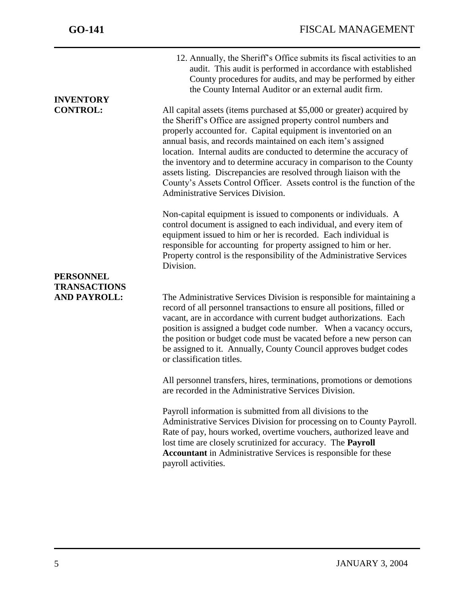**INVENTORY** 

j

12. Annually, the Sheriff's Office submits its fiscal activities to an audit. This audit is performed in accordance with established County procedures for audits, and may be performed by either the County Internal Auditor or an external audit firm.

**CONTROL:** All capital assets (items purchased at \$5,000 or greater) acquired by the Sheriff's Office are assigned property control numbers and properly accounted for. Capital equipment is inventoried on an annual basis, and records maintained on each item's assigned location. Internal audits are conducted to determine the accuracy of the inventory and to determine accuracy in comparison to the County assets listing. Discrepancies are resolved through liaison with the County's Assets Control Officer. Assets control is the function of the Administrative Services Division.

> Non-capital equipment is issued to components or individuals. A control document is assigned to each individual, and every item of equipment issued to him or her is recorded. Each individual is responsible for accounting for property assigned to him or her. Property control is the responsibility of the Administrative Services Division.

## **PERSONNEL TRANSACTIONS**

**AND PAYROLL:** The Administrative Services Division is responsible for maintaining a record of all personnel transactions to ensure all positions, filled or vacant, are in accordance with current budget authorizations. Each position is assigned a budget code number. When a vacancy occurs, the position or budget code must be vacated before a new person can be assigned to it. Annually, County Council approves budget codes or classification titles.

> All personnel transfers, hires, terminations, promotions or demotions are recorded in the Administrative Services Division.

Payroll information is submitted from all divisions to the Administrative Services Division for processing on to County Payroll. Rate of pay, hours worked, overtime vouchers, authorized leave and lost time are closely scrutinized for accuracy. The **Payroll Accountant** in Administrative Services is responsible for these payroll activities.